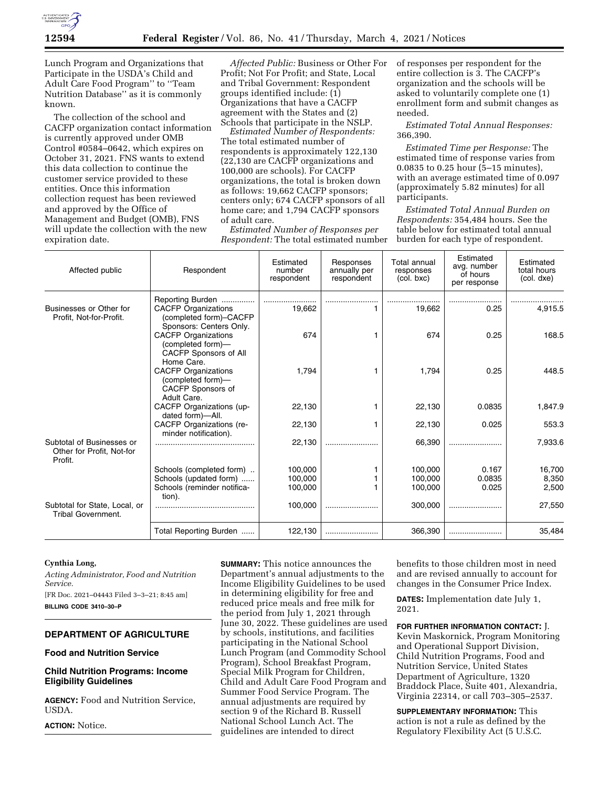

Lunch Program and Organizations that Participate in the USDA's Child and Adult Care Food Program'' to ''Team Nutrition Database'' as it is commonly known.

The collection of the school and CACFP organization contact information is currently approved under OMB Control #0584–0642, which expires on October 31, 2021. FNS wants to extend this data collection to continue the customer service provided to these entities. Once this information collection request has been reviewed and approved by the Office of Management and Budget (OMB), FNS will update the collection with the new expiration date.

*Affected Public:* Business or Other For Profit; Not For Profit; and State, Local and Tribal Government: Respondent groups identified include: (1) Organizations that have a CACFP agreement with the States and (2) Schools that participate in the NSLP.

*Estimated Number of Respondents:*  The total estimated number of respondents is approximately 122,130 (22,130 are CACFP organizations and 100,000 are schools). For CACFP organizations, the total is broken down as follows: 19,662 CACFP sponsors; centers only; 674 CACFP sponsors of all home care; and 1,794 CACFP sponsors of adult care.

*Estimated Number of Responses per Respondent:* The total estimated number of responses per respondent for the entire collection is 3. The CACFP's organization and the schools will be asked to voluntarily complete one (1) enrollment form and submit changes as needed.

*Estimated Total Annual Responses:*  366,390.

*Estimated Time per Response:* The estimated time of response varies from 0.0835 to 0.25 hour (5–15 minutes), with an average estimated time of 0.097 (approximately 5.82 minutes) for all participants.

*Estimated Total Annual Burden on Respondents:* 354,484 hours. See the table below for estimated total annual burden for each type of respondent.

| Affected public                                                   | Respondent                                                                                          | Estimated<br>number<br>respondent | Responses<br>annually per<br>respondent | Total annual<br>responses<br>(col. bxc) | Estimated<br>avg. number<br>of hours<br>per response | Estimated<br>total hours<br>(col. dxe) |
|-------------------------------------------------------------------|-----------------------------------------------------------------------------------------------------|-----------------------------------|-----------------------------------------|-----------------------------------------|------------------------------------------------------|----------------------------------------|
| Businesses or Other for<br>Profit, Not-for-Profit.                | Reporting Burden<br><b>CACFP Organizations</b><br>(completed form)-CACFP                            | 19,662                            |                                         | 19,662                                  | 0.25                                                 | 4,915.5                                |
|                                                                   | Sponsors: Centers Only.<br><b>CACFP Organizations</b><br>(completed form)-<br>CACFP Sponsors of All | 674                               |                                         | 674                                     | 0.25                                                 | 168.5                                  |
|                                                                   | Home Care.<br><b>CACFP Organizations</b><br>(completed form)-<br>CACFP Sponsors of<br>Adult Care.   | 1,794                             |                                         | 1.794                                   | 0.25                                                 | 448.5                                  |
|                                                                   | <b>CACFP Organizations (up-</b><br>dated form)-All.                                                 | 22,130                            |                                         | 22,130                                  | 0.0835                                               | 1.847.9                                |
|                                                                   | CACFP Organizations (re-<br>minder notification).                                                   | 22,130                            |                                         | 22,130                                  | 0.025                                                | 553.3                                  |
| Subtotal of Businesses or<br>Other for Profit, Not-for<br>Profit. |                                                                                                     | 22,130                            |                                         | 66,390                                  |                                                      | 7,933.6                                |
|                                                                   | Schools (completed form)                                                                            | 100.000                           |                                         | 100.000                                 | 0.167                                                | 16,700                                 |
|                                                                   | Schools (updated form)                                                                              | 100,000                           |                                         | 100,000                                 | 0.0835                                               | 8,350                                  |
|                                                                   | Schools (reminder notifica-<br>tion).                                                               | 100,000                           |                                         | 100,000                                 | 0.025                                                | 2,500                                  |
| Subtotal for State, Local, or<br><b>Tribal Government.</b>        |                                                                                                     | 100,000                           |                                         | 300,000                                 |                                                      | 27,550                                 |
|                                                                   | Total Reporting Burden                                                                              | 122,130                           |                                         | 366,390                                 |                                                      | 35,484                                 |

### **Cynthia Long,**

*Acting Administrator, Food and Nutrition Service.* 

[FR Doc. 2021–04443 Filed 3–3–21; 8:45 am] **BILLING CODE 3410–30–P** 

# **DEPARTMENT OF AGRICULTURE**

## **Food and Nutrition Service**

# **Child Nutrition Programs: Income Eligibility Guidelines**

**AGENCY:** Food and Nutrition Service, USDA.

**ACTION:** Notice.

**SUMMARY:** This notice announces the Department's annual adjustments to the Income Eligibility Guidelines to be used in determining eligibility for free and reduced price meals and free milk for the period from July 1, 2021 through June 30, 2022. These guidelines are used by schools, institutions, and facilities participating in the National School Lunch Program (and Commodity School Program), School Breakfast Program, Special Milk Program for Children, Child and Adult Care Food Program and Summer Food Service Program. The annual adjustments are required by section 9 of the Richard B. Russell National School Lunch Act. The guidelines are intended to direct

benefits to those children most in need and are revised annually to account for changes in the Consumer Price Index.

**DATES:** Implementation date July 1, 2021.

**FOR FURTHER INFORMATION CONTACT:** J. Kevin Maskornick, Program Monitoring and Operational Support Division, Child Nutrition Programs, Food and Nutrition Service, United States Department of Agriculture, 1320 Braddock Place, Suite 401, Alexandria, Virginia 22314, or call 703–305–2537.

**SUPPLEMENTARY INFORMATION:** This action is not a rule as defined by the Regulatory Flexibility Act (5 U.S.C.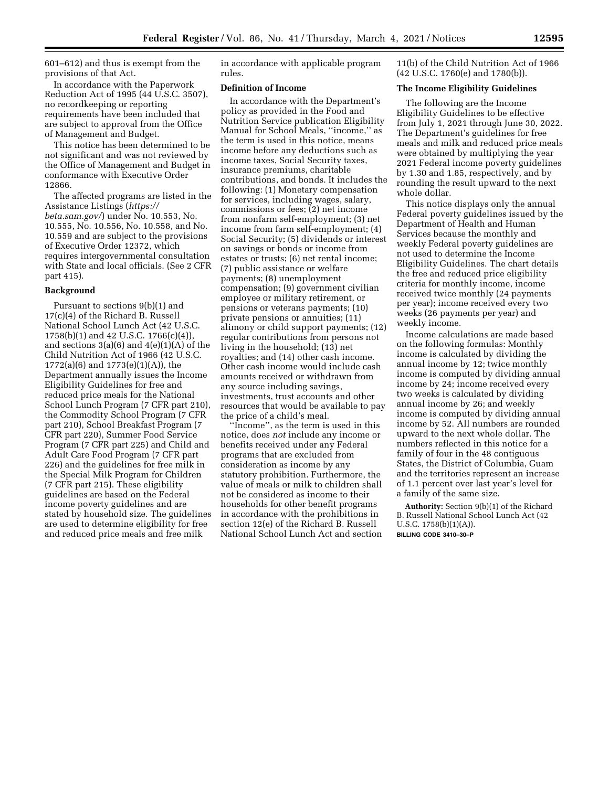601–612) and thus is exempt from the provisions of that Act.

In accordance with the Paperwork Reduction Act of 1995 (44 U.S.C. 3507), no recordkeeping or reporting requirements have been included that are subject to approval from the Office of Management and Budget.

This notice has been determined to be not significant and was not reviewed by the Office of Management and Budget in conformance with Executive Order 12866.

The affected programs are listed in the Assistance Listings (*[https://](https://beta.sam.gov/) [beta.sam.gov/](https://beta.sam.gov/)*) under No. 10.553, No. 10.555, No. 10.556, No. 10.558, and No. 10.559 and are subject to the provisions of Executive Order 12372, which requires intergovernmental consultation with State and local officials. (See 2 CFR part 415).

## **Background**

Pursuant to sections 9(b)(1) and 17(c)(4) of the Richard B. Russell National School Lunch Act (42 U.S.C. 1758(b)(1) and 42 U.S.C. 1766(c)(4)), and sections  $3(a)(6)$  and  $4(e)(1)(A)$  of the Child Nutrition Act of 1966 (42 U.S.C. 1772(a)(6) and 1773(e)(1)(A)), the Department annually issues the Income Eligibility Guidelines for free and reduced price meals for the National School Lunch Program (7 CFR part 210), the Commodity School Program (7 CFR part 210), School Breakfast Program (7 CFR part 220), Summer Food Service Program (7 CFR part 225) and Child and Adult Care Food Program (7 CFR part 226) and the guidelines for free milk in the Special Milk Program for Children (7 CFR part 215). These eligibility guidelines are based on the Federal income poverty guidelines and are stated by household size. The guidelines are used to determine eligibility for free and reduced price meals and free milk

in accordance with applicable program rules.

# **Definition of Income**

In accordance with the Department's policy as provided in the Food and Nutrition Service publication Eligibility Manual for School Meals, ''income,'' as the term is used in this notice, means income before any deductions such as income taxes, Social Security taxes, insurance premiums, charitable contributions, and bonds. It includes the following: (1) Monetary compensation for services, including wages, salary, commissions or fees; (2) net income from nonfarm self-employment; (3) net income from farm self-employment; (4) Social Security; (5) dividends or interest on savings or bonds or income from estates or trusts; (6) net rental income; (7) public assistance or welfare payments; (8) unemployment compensation; (9) government civilian employee or military retirement, or pensions or veterans payments; (10) private pensions or annuities; (11) alimony or child support payments; (12) regular contributions from persons not living in the household; (13) net royalties; and (14) other cash income. Other cash income would include cash amounts received or withdrawn from any source including savings, investments, trust accounts and other resources that would be available to pay the price of a child's meal.

Income", as the term is used in this notice, does *not* include any income or benefits received under any Federal programs that are excluded from consideration as income by any statutory prohibition. Furthermore, the value of meals or milk to children shall not be considered as income to their households for other benefit programs in accordance with the prohibitions in section 12(e) of the Richard B. Russell National School Lunch Act and section 11(b) of the Child Nutrition Act of 1966 (42 U.S.C. 1760(e) and 1780(b)).

## **The Income Eligibility Guidelines**

The following are the Income Eligibility Guidelines to be effective from July 1, 2021 through June 30, 2022. The Department's guidelines for free meals and milk and reduced price meals were obtained by multiplying the year 2021 Federal income poverty guidelines by 1.30 and 1.85, respectively, and by rounding the result upward to the next whole dollar.

This notice displays only the annual Federal poverty guidelines issued by the Department of Health and Human Services because the monthly and weekly Federal poverty guidelines are not used to determine the Income Eligibility Guidelines. The chart details the free and reduced price eligibility criteria for monthly income, income received twice monthly (24 payments per year); income received every two weeks (26 payments per year) and weekly income.

Income calculations are made based on the following formulas: Monthly income is calculated by dividing the annual income by 12; twice monthly income is computed by dividing annual income by 24; income received every two weeks is calculated by dividing annual income by 26; and weekly income is computed by dividing annual income by 52. All numbers are rounded upward to the next whole dollar. The numbers reflected in this notice for a family of four in the 48 contiguous States, the District of Columbia, Guam and the territories represent an increase of 1.1 percent over last year's level for a family of the same size.

**Authority:** Section 9(b)(1) of the Richard B. Russell National School Lunch Act (42 U.S.C. 1758(b)(1)(A)).

**BILLING CODE 3410–30–P**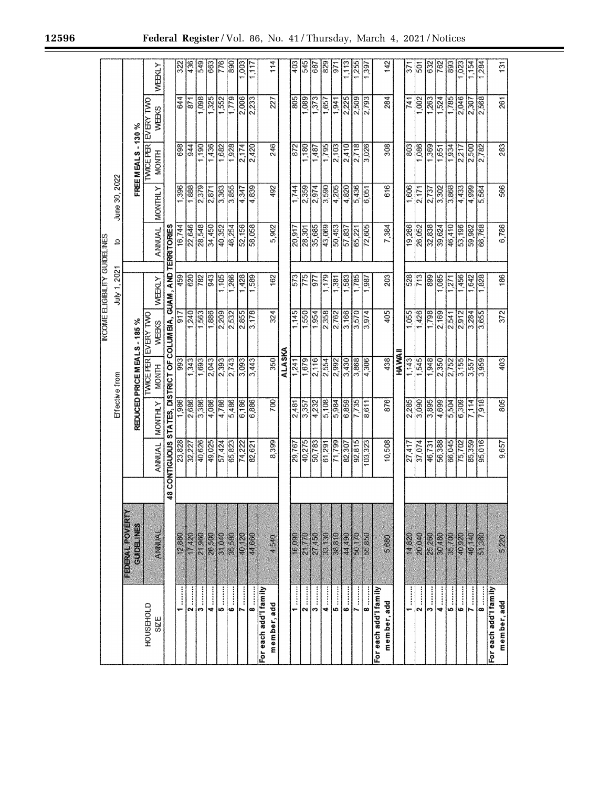| 12596 |  |  | Federal Register / Vol. 86, No. 41 / Thursday, March 4, 2021 / Notices |
|-------|--|--|------------------------------------------------------------------------|
|       |  |  |                                                                        |
|       |  |  |                                                                        |

|                                                                                                                                                                                                                                                                                                                                                                                                                                                                                                                                                                                                                                                                                                                                                  |                                      |                                                                   |         |                          |                                      | <b>NOOME ELGENTY GUIDELINES</b> |        |                |                    |                                     |                  |
|--------------------------------------------------------------------------------------------------------------------------------------------------------------------------------------------------------------------------------------------------------------------------------------------------------------------------------------------------------------------------------------------------------------------------------------------------------------------------------------------------------------------------------------------------------------------------------------------------------------------------------------------------------------------------------------------------------------------------------------------------|--------------------------------------|-------------------------------------------------------------------|---------|--------------------------|--------------------------------------|---------------------------------|--------|----------------|--------------------|-------------------------------------|------------------|
|                                                                                                                                                                                                                                                                                                                                                                                                                                                                                                                                                                                                                                                                                                                                                  |                                      |                                                                   |         | Effective from           |                                      | July 1, 2021                    | đ,     | June 30, 2022  |                    |                                     |                  |
|                                                                                                                                                                                                                                                                                                                                                                                                                                                                                                                                                                                                                                                                                                                                                  | FEDERAL POVERTY<br><b>GUIDELINES</b> |                                                                   |         | REDUCED PRICE MEALS-185% |                                      |                                 |        |                | FREE MEALS - 130 % |                                     |                  |
| HOUSEHOLD<br><b>SZE</b>                                                                                                                                                                                                                                                                                                                                                                                                                                                                                                                                                                                                                                                                                                                          | ANNUAL                               | <b>ANNUAL</b>                                                     | MONTHLY | <b>MONTH</b>             | <b>INVICE PER EVERY TWO</b><br>WEEKS | WEEKLY                          | ANNUAL | <b>MONTHLY</b> | <b>MONTH</b>       | <b>IVACE PER EVERY TWO</b><br>WEEKS | WEBCY            |
|                                                                                                                                                                                                                                                                                                                                                                                                                                                                                                                                                                                                                                                                                                                                                  |                                      | 48 CONTIGUOUS STATES, DISTRICT OF COLUMBIA, GUAM, AND TERRITORIES |         |                          |                                      |                                 |        |                |                    |                                     |                  |
| $\frac{1}{2}$                                                                                                                                                                                                                                                                                                                                                                                                                                                                                                                                                                                                                                                                                                                                    | 12,880                               |                                                                   | 1,986   | 93                       | 917                                  | 459                             | 16,744 | 1,396          | 698                | 644                                 | $\frac{22}{3}$   |
| $\begin{array}{c} \hline \mathbf{2} & \cdots \end{array}$                                                                                                                                                                                                                                                                                                                                                                                                                                                                                                                                                                                                                                                                                        | 17,420                               | 23,828<br>32,227                                                  | 2,686   | 1,343                    | 1,240                                | 620                             | 22,646 | 1,888          | 944                | 871                                 | 436              |
| $\overline{\mathbf{3}}$                                                                                                                                                                                                                                                                                                                                                                                                                                                                                                                                                                                                                                                                                                                          | 21,960                               | 40,626                                                            | 3,386   | 1,693                    | 1,563                                | 281                             | 28,548 | 2,379          | 1,190              | 1,098                               | 549              |
| $\frac{1}{4}$                                                                                                                                                                                                                                                                                                                                                                                                                                                                                                                                                                                                                                                                                                                                    | 26,500                               | 49,025                                                            | 4,086   | 2,043                    | 1,886                                | 943                             | 34,450 | 2,871          | 1,436              | 1,325                               | 663              |
|                                                                                                                                                                                                                                                                                                                                                                                                                                                                                                                                                                                                                                                                                                                                                  | 31,040                               | 57,424                                                            | 4,786   | 2,393                    | 2,209                                | 1,105                           | 40,352 | 3,363          | 1,682              | 1,552                               | 776              |
| $\begin{array}{c} \bullet \end{array}$                                                                                                                                                                                                                                                                                                                                                                                                                                                                                                                                                                                                                                                                                                           | 35,580                               | 65,823                                                            | 5,486   | 2,743                    | 2,532                                | 1,266                           | 46,254 | 3,855          | 1,928              | 1.779                               | 890              |
|                                                                                                                                                                                                                                                                                                                                                                                                                                                                                                                                                                                                                                                                                                                                                  | 40,120                               | 74,222                                                            | 6,186   | $\sqrt{3,093}$           | $\frac{2.855}{2.855}$                | 1,428                           | 52,156 | 4,347          | 2,174              | 2,006                               | 8                |
| $\begin{array}{c}\n\bullet \\ \bullet \\ \bullet \\ \bullet\n\end{array}$                                                                                                                                                                                                                                                                                                                                                                                                                                                                                                                                                                                                                                                                        | 44,660                               | 82,621                                                            | 6,886   | 3,443                    | 3,178                                | 589                             | 58,058 | 4,839          | 2,420              | 2,233                               | 1,117            |
| For each add'l family<br>member, add                                                                                                                                                                                                                                                                                                                                                                                                                                                                                                                                                                                                                                                                                                             | 4,540                                | 8,399                                                             | 700     | $\overline{350}$         | 324                                  | 162                             | 5,902  | 492            | 246                | 27                                  | 114              |
|                                                                                                                                                                                                                                                                                                                                                                                                                                                                                                                                                                                                                                                                                                                                                  |                                      |                                                                   |         | ALASKA                   |                                      |                                 |        |                |                    |                                     |                  |
| $\begin{array}{c} \hline \mathbf{1} & \mathbf{1} \\ \mathbf{1} & \mathbf{1} \end{array}$                                                                                                                                                                                                                                                                                                                                                                                                                                                                                                                                                                                                                                                         | 16,090                               | 29,767                                                            | 2,481   | 1,241                    | 1,145                                | 573                             | 20,917 | 1,744          | 872                | 805                                 | 403              |
| $\begin{array}{c} \hline \mathbf{2} & \dots & \mathbf{1} \end{array}$                                                                                                                                                                                                                                                                                                                                                                                                                                                                                                                                                                                                                                                                            | 21,770                               | 40,275                                                            | 3,357   | 1,679                    | 1,550                                | 775                             | 28,301 | 2,359          | 1,180              | 1,089                               | 545              |
| $\begin{array}{c} \begin{array}{c} \hline \mathbf{3} & \hline \end{array} \end{array}$                                                                                                                                                                                                                                                                                                                                                                                                                                                                                                                                                                                                                                                           | 27,450                               | 50,783                                                            | 4,232   | 2,116                    | 1,954                                | 977                             | 35,685 | 2,974          | 1,487              | 1,373                               | 687              |
| $\frac{4 \cdots}{4}$                                                                                                                                                                                                                                                                                                                                                                                                                                                                                                                                                                                                                                                                                                                             | 33,130                               | 61,291                                                            | 5,108   | 2,554                    | 2,358                                | .179                            | 43,069 | 3,590          | 1,795              | 1,657                               | 829              |
|                                                                                                                                                                                                                                                                                                                                                                                                                                                                                                                                                                                                                                                                                                                                                  | 38,810                               | 71,799                                                            | 5,984   | 2,992                    | 2,762                                | $\overline{381}$                | 50,453 | 4,205          | 2,103              | 1,941                               | 971              |
| $\begin{array}{c} \bullet \end{array}$                                                                                                                                                                                                                                                                                                                                                                                                                                                                                                                                                                                                                                                                                                           | 44,490                               | 82,307                                                            | 6,859   | 3,430                    | 3,166                                | 1,583                           | 57,837 | 4,820          | 2,410              | 2,225                               | 1,113            |
|                                                                                                                                                                                                                                                                                                                                                                                                                                                                                                                                                                                                                                                                                                                                                  | 50,170                               | 92,815                                                            | 7,735   | 3,868                    | 3,570                                | 1,785                           | 65,221 | 5,436          | 2,718              | 2,509                               | 1,255            |
| 8                                                                                                                                                                                                                                                                                                                                                                                                                                                                                                                                                                                                                                                                                                                                                | 55,850                               | 103,323                                                           | 8,611   | 4,306                    | 3,974                                | 1,987                           | 72,605 | 6,051          | 3,026              | 2,793                               | 1,397            |
| For each add'l family<br>member, add                                                                                                                                                                                                                                                                                                                                                                                                                                                                                                                                                                                                                                                                                                             | 5,680                                | 10,508                                                            | 876     | 438                      | 405                                  | 203                             | 7,384  | 616            | 308                | 284                                 | 142              |
|                                                                                                                                                                                                                                                                                                                                                                                                                                                                                                                                                                                                                                                                                                                                                  |                                      |                                                                   |         | HAWAII                   |                                      |                                 |        |                |                    |                                     |                  |
| $\frac{1}{1}$                                                                                                                                                                                                                                                                                                                                                                                                                                                                                                                                                                                                                                                                                                                                    | 14,820                               | 27,417                                                            | 2,285   | 1,143                    | 1,055                                | 528                             | 19,266 | 1,606          | 803                | 741                                 | 371              |
| $\begin{array}{c}\n2 \\ \hline\n\end{array}$                                                                                                                                                                                                                                                                                                                                                                                                                                                                                                                                                                                                                                                                                                     | 20,040                               | 37,074                                                            | 3,090   | 1,545                    | 1,426                                | 713                             | 26,052 | 2,171          | 1,086              | 1.002                               | $\overline{501}$ |
| $\begin{array}{c} \n\bullet \quad \quad \quad \quad \bullet \quad \quad \quad \quad \bullet \quad \quad \bullet \quad \quad \bullet \quad \quad \bullet \quad \quad \bullet \quad \quad \bullet \quad \quad \bullet \quad \quad \bullet \quad \quad \bullet \quad \quad \bullet \quad \quad \bullet \quad \quad \bullet \quad \quad \bullet \quad \quad \bullet \quad \quad \bullet \quad \quad \bullet \quad \quad \bullet \quad \quad \bullet \quad \quad \bullet \quad \quad \bullet \quad \quad \bullet \quad \quad \bullet \quad \quad \bullet \quad \quad \bullet \quad \quad \bullet \quad \quad \bullet \quad \quad \bullet \quad \quad \bullet \quad \quad \bullet \quad \quad \bullet \quad \quad \bullet \quad \quad \bullet \quad \$ | 25,260                               | 46,731                                                            | 3,895   | 1,948                    | 1.798                                | 899                             | 32,838 | 2,737          | 1,369              | 1,263                               | 632              |
| $\frac{4}{2}$                                                                                                                                                                                                                                                                                                                                                                                                                                                                                                                                                                                                                                                                                                                                    | 30,480                               | 56,388                                                            | 4,699   | 2,350                    | 2,169                                | 1,085                           | 39,624 | 3,302          | 1,651              | 1.524                               | 762              |
| $\begin{bmatrix} \bullet & \cdots & \bullet \\ \bullet & \cdots & \bullet \end{bmatrix}$                                                                                                                                                                                                                                                                                                                                                                                                                                                                                                                                                                                                                                                         | 35,700                               | 66,045                                                            | 5,504   | 2,752                    | 2,541                                | 771                             | 46,410 | 3,868          | 1,934              | 1,785                               | 893              |
|                                                                                                                                                                                                                                                                                                                                                                                                                                                                                                                                                                                                                                                                                                                                                  | 40920                                | 75,702                                                            | 6,309   | 3,155                    | 2,912                                | 1,456                           | 53,196 | 4,433          | 2,217              | 2,046                               | 1,023            |
|                                                                                                                                                                                                                                                                                                                                                                                                                                                                                                                                                                                                                                                                                                                                                  | 46,140                               | 85,359                                                            | 7,114   | 3,557                    | 3,284                                | 1,642                           | 59,982 | 4,999          | 2,500              | 2,307                               | 1,154            |
|                                                                                                                                                                                                                                                                                                                                                                                                                                                                                                                                                                                                                                                                                                                                                  | 51,360                               | 95,016                                                            | 7,918   | 3,959                    | 3,655                                | 1,828                           | 66,768 | 5,564          | 2,782              | 2,568                               | 1,284            |
| For each add'l family                                                                                                                                                                                                                                                                                                                                                                                                                                                                                                                                                                                                                                                                                                                            |                                      |                                                                   |         |                          |                                      |                                 |        |                |                    |                                     |                  |
| member, add                                                                                                                                                                                                                                                                                                                                                                                                                                                                                                                                                                                                                                                                                                                                      | 5,220                                | 9,657                                                             | 805     | 403                      | 372                                  | 36                              | 6,786  | 566            | 283                | 261                                 | $\overline{131}$ |